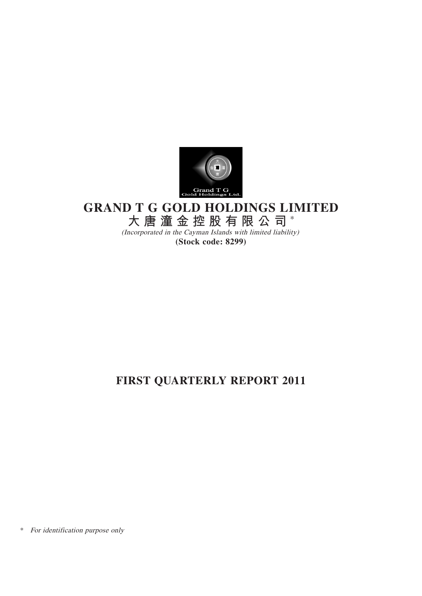

# **GRAND T G GOLD HOLDINGS LIMITED**

**大唐潼金控股有限公司** \*

(Incorporated in the Cayman Islands with limited liability) **(Stock code: 8299)**

# **FIRST QUARTERLY REPORT 2011**

\* For identification purpose only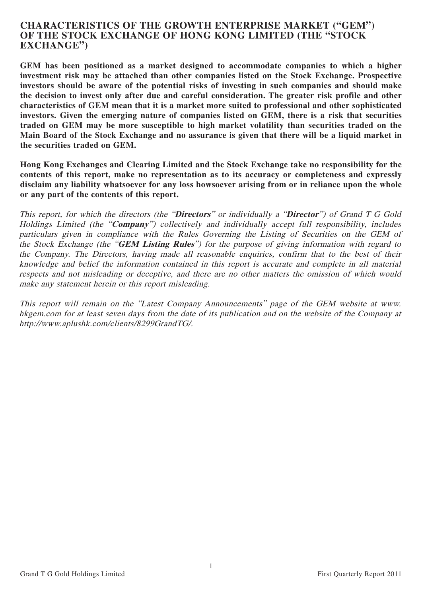# **CHARACTERISTICS OF THE GROWTH ENTERPRISE MARKET ("GEM") OF THE STOCK EXCHANGE OF HONG KONG LIMITED (THE "STOCK EXCHANGE")**

**GEM has been positioned as a market designed to accommodate companies to which a higher investment risk may be attached than other companies listed on the Stock Exchange. Prospective investors should be aware of the potential risks of investing in such companies and should make the decision to invest only after due and careful consideration. The greater risk profile and other characteristics of GEM mean that it is a market more suited to professional and other sophisticated investors. Given the emerging nature of companies listed on GEM, there is a risk that securities traded on GEM may be more susceptible to high market volatility than securities traded on the Main Board of the Stock Exchange and no assurance is given that there will be a liquid market in the securities traded on GEM.**

**Hong Kong Exchanges and Clearing Limited and the Stock Exchange take no responsibility for the contents of this report, make no representation as to its accuracy or completeness and expressly disclaim any liability whatsoever for any loss howsoever arising from or in reliance upon the whole or any part of the contents of this report.**

This report, for which the directors (the "**Directors**" or individually a "**Director**") of Grand T G Gold Holdings Limited (the "**Company**") collectively and individually accept full responsibility, includes particulars given in compliance with the Rules Governing the Listing of Securities on the GEM of the Stock Exchange (the "**GEM Listing Rules**") for the purpose of giving information with regard to the Company. The Directors, having made all reasonable enquiries, confirm that to the best of their knowledge and belief the information contained in this report is accurate and complete in all material respects and not misleading or deceptive, and there are no other matters the omission of which would make any statement herein or this report misleading.

This report will remain on the "Latest Company Announcements" page of the GEM website at www. hkgem.com for at least seven days from the date of its publication and on the website of the Company at http://www.aplushk.com/clients/8299GrandTG/.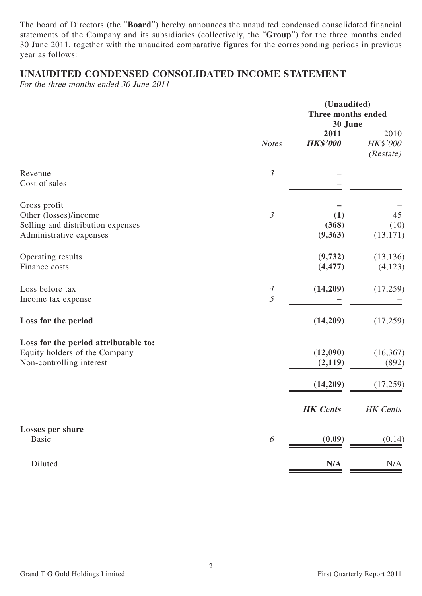The board of Directors (the "**Board**") hereby announces the unaudited condensed consolidated financial statements of the Company and its subsidiaries (collectively, the "**Group**") for the three months ended 30 June 2011, together with the unaudited comparative figures for the corresponding periods in previous year as follows:

# **UNAUDITED CONDENSED CONSOLIDATED INCOME STATEMENT**

For the three months ended 30 June 2011

|                                                                                                       |                     | (Unaudited)<br>Three months ended<br>30 June |                                      |  |
|-------------------------------------------------------------------------------------------------------|---------------------|----------------------------------------------|--------------------------------------|--|
|                                                                                                       | <b>Notes</b>        | 2011<br><b>HK\$'000</b>                      | 2010<br><b>HK\$'000</b><br>(Restate) |  |
| Revenue<br>Cost of sales                                                                              | $\mathfrak{Z}$      |                                              |                                      |  |
| Gross profit<br>Other (losses)/income<br>Selling and distribution expenses<br>Administrative expenses | $\mathfrak{Z}$      | (1)<br>(368)<br>(9,363)                      | 45<br>(10)<br>(13, 171)              |  |
| Operating results<br>Finance costs                                                                    |                     | (9,732)<br>(4, 477)                          | (13, 136)<br>(4, 123)                |  |
| Loss before tax<br>Income tax expense                                                                 | $\overline{A}$<br>5 | (14,209)                                     | (17,259)                             |  |
| Loss for the period                                                                                   |                     | (14,209)                                     | (17,259)                             |  |
| Loss for the period attributable to:<br>Equity holders of the Company<br>Non-controlling interest     |                     | (12,090)<br>(2,119)                          | (16, 367)<br>(892)                   |  |
|                                                                                                       |                     | (14,209)                                     | (17,259)                             |  |
|                                                                                                       |                     | <b>HK</b> Cents                              | HK Cents                             |  |
| <b>Losses per share</b><br><b>Basic</b>                                                               | 6                   | (0.09)                                       | (0.14)                               |  |
| Diluted                                                                                               |                     | N/A                                          | N/A                                  |  |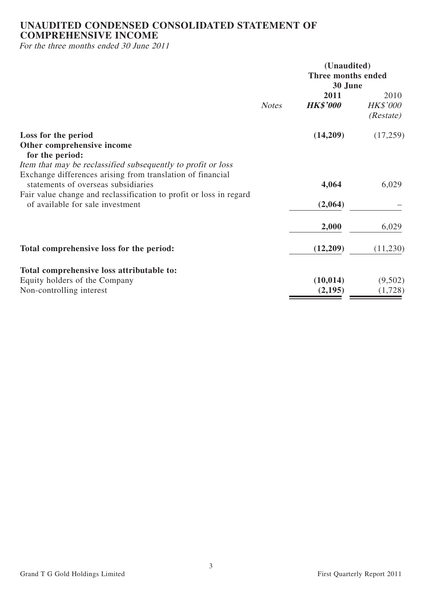# **UNAUDITED CONDENSED CONSOLIDATED STATEMENT OF COMPREHENSIVE INCOME**

For the three months ended 30 June 2011

|                                                                                                                                                                         |              | (Unaudited)                   |                                       |  |  |
|-------------------------------------------------------------------------------------------------------------------------------------------------------------------------|--------------|-------------------------------|---------------------------------------|--|--|
|                                                                                                                                                                         |              | Three months ended<br>30 June |                                       |  |  |
|                                                                                                                                                                         | <b>Notes</b> | 2011<br><b>HK\$'000</b>       | 2010<br><b>HK\$'000</b><br>(Resitate) |  |  |
| Loss for the period<br>Other comprehensive income<br>for the period:<br>Item that may be reclassified subsequently to profit or loss                                    |              | (14,209)                      | (17,259)                              |  |  |
| Exchange differences arising from translation of financial<br>statements of overseas subsidiaries<br>Fair value change and reclassification to profit or loss in regard |              | 4,064                         | 6,029                                 |  |  |
| of available for sale investment                                                                                                                                        |              | (2,064)                       |                                       |  |  |
|                                                                                                                                                                         |              | 2,000                         | 6,029                                 |  |  |
| Total comprehensive loss for the period:                                                                                                                                |              | (12,209)                      | (11,230)                              |  |  |
| Total comprehensive loss attributable to:                                                                                                                               |              |                               |                                       |  |  |
| Equity holders of the Company<br>Non-controlling interest                                                                                                               |              | (10, 014)<br>(2,195)          | (9,502)<br>(1,728)                    |  |  |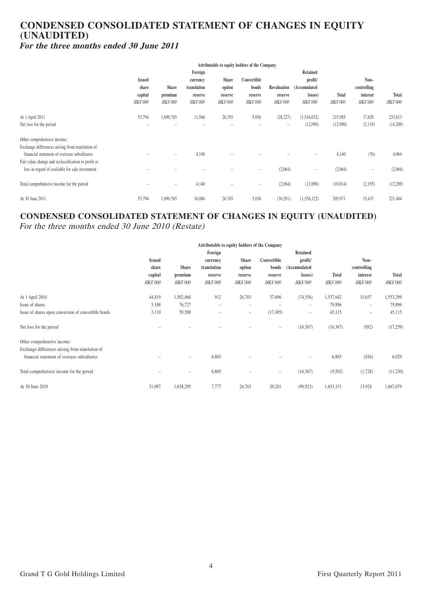# **CONDENSED CONSOLIDATED STATEMENT OF CHANGES IN EQUITY (UNAUDITED) For the three months ended 30 June 2011**

|                                                     | Attributable to equity holders of the Company |                          |                 |                          |                 |                 |                          |                 |                 |                 |
|-----------------------------------------------------|-----------------------------------------------|--------------------------|-----------------|--------------------------|-----------------|-----------------|--------------------------|-----------------|-----------------|-----------------|
|                                                     | Foreign                                       |                          |                 |                          |                 | Retained        |                          |                 |                 |                 |
|                                                     | <b>Issued</b>                                 |                          | currency        | <b>Share</b>             | Convertible     |                 | profit/                  | Non-            |                 |                 |
|                                                     | share                                         | <b>Share</b>             | translation     | option                   | bonds           | Revaluation     | (Accumulated             |                 | controlling     |                 |
|                                                     | capital                                       | premium                  | reserve         | reserve                  | reserve         | reserve         | losses)                  | Total           | interest        | Total           |
|                                                     | <i>HK\$'000</i>                               | <b>HK\$'000</b>          | <b>HK\$'000</b> | <b>HK\$'000</b>          | <b>HK\$'000</b> | <b>HK\$'000</b> | <b>HK\$'000</b>          | <b>HK\$'000</b> | <b>HK\$'000</b> | <b>HK\$'000</b> |
| At 1 April 2011                                     | 53,794                                        | 1,690,765                | 11,946          | 26,703                   | 5,036           | (28, 227)       | (1,544,032)              | 215,985         | 17,628          | 233,613         |
| Net loss for the period                             | $\overline{\phantom{0}}$                      | -                        |                 | $\overline{\phantom{0}}$ | ۰               | $\equiv$        | (12,090)                 | (12,090)        | (2,119)         | (14,209)        |
| Other comprehensive income:                         |                                               |                          |                 |                          |                 |                 |                          |                 |                 |                 |
| Exchange differences arising from translation of    |                                               |                          |                 |                          |                 |                 |                          |                 |                 |                 |
| financial statement of overseas subsidiaries        |                                               | $\overline{\phantom{0}}$ | 4,140           |                          |                 |                 | $\overline{\phantom{0}}$ | 4,140           | (76)            | 4,064           |
| Fair value change and reclassification to profit or |                                               |                          |                 |                          |                 |                 |                          |                 |                 |                 |
| loss in regard of available for sale investment     |                                               | -                        |                 |                          | $\equiv$        | (2,064)         | $\equiv$                 | (2,064)         | $\equiv$        | (2,064)         |
| Total comprehensive income for the period           |                                               | $\overline{\phantom{a}}$ | 4,140           | $\overline{\phantom{0}}$ | $\equiv$        | (2,064)         | (12,090)                 | (10,014)        | (2,195)         | (12,209)        |
| At 30 June 2011                                     | 53,794                                        | 1,690,765                | 16,086          | 26,703                   | 5,036           | (30,291)        | (1, 556, 122)            | 205,971         | 15,433          | 221,404         |

# **CONDENSED CONSOLIDATED STATEMENT OF CHANGES IN EQUITY (UNAUDITED)** For the three months ended 30 June 2010 (Restate)

|                                                      | Attributable to equity holders of the Company |                 |                          |                                    |                          |                                    |              |                   |                 |
|------------------------------------------------------|-----------------------------------------------|-----------------|--------------------------|------------------------------------|--------------------------|------------------------------------|--------------|-------------------|-----------------|
|                                                      |                                               |                 | Foreign                  |                                    |                          | Retained                           |              |                   |                 |
|                                                      | <b>Issued</b>                                 |                 | currency                 | Share                              | Convertible              | profit/                            |              | Non-              |                 |
|                                                      | share                                         | <b>Share</b>    | translation              | option                             | bonds                    | (Accumulated                       |              | controlling       |                 |
|                                                      | capital                                       | premium         | reserve                  | reserve                            | reserve                  | losses)                            | <b>Total</b> | interest          | <b>Total</b>    |
|                                                      | <i>HK\$'000</i>                               | <b>HK\$'000</b> |                          | <b>HK\$'000</b><br><i>HK\$'000</i> |                          | <i>HK\$'000</i><br><b>HK\$'000</b> |              | <b>HK\$'000</b>   | <i>HK\$'000</i> |
| At 1 April 2010                                      | 44,819                                        | 1,502,068       | 912                      | 26,703                             | 37,696                   | (74, 556)                          | 1,537,642    | 15,657            | 1,553,299       |
| Issue of shares                                      | 3,168                                         | 76,727          | $\overline{\phantom{0}}$ | $\overline{\phantom{m}}$           |                          | $\qquad \qquad =$                  | 79,896       | $\qquad \qquad =$ | 79,896          |
| Issue of shares upon conversion of convertible bonds | 3,110                                         | 59,500          |                          | $\overline{\phantom{0}}$           | (17, 495)                | $\qquad \qquad =$                  | 45,115       | $\qquad \qquad =$ | 45,115          |
| Net loss for the period                              |                                               |                 |                          |                                    | $\equiv$                 | (16, 367)                          | (16, 367)    | (892)             | (17,259)        |
| Other comprehensive income:                          |                                               |                 |                          |                                    |                          |                                    |              |                   |                 |
| Exchange differences arising from translation of     |                                               |                 |                          |                                    |                          |                                    |              |                   |                 |
| financial statement of overseas subsidiaries         |                                               | Ξ.              | 6,865                    |                                    |                          | $\equiv$                           | 6,865        | (836)             | 6,029           |
| Total comprehensive income for the period            |                                               | Ξ.              | 6,865                    |                                    | $\overline{\phantom{0}}$ | (16, 367)                          | (9,502)      | (1,728)           | (11,230)        |
| At 30 June 2010                                      | 51,097                                        | 1,638,295       | 7,777                    | 26,703                             | 20,201                   | (90, 923)                          | 1,653,151    | 13,928            | 1,667,079       |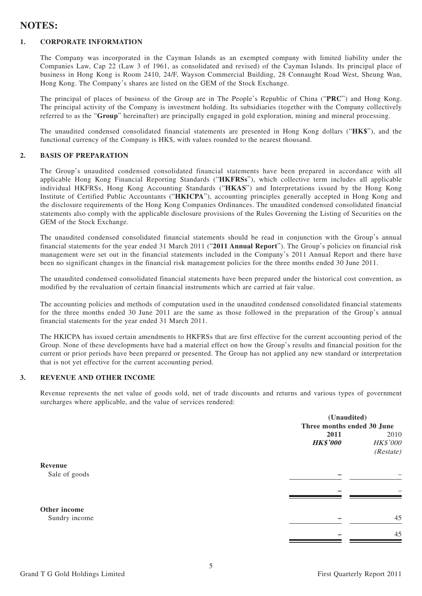# **NOTES:**

#### **1. CORPORATE INFORMATION**

The Company was incorporated in the Cayman Islands as an exempted company with limited liability under the Companies Law, Cap 22 (Law 3 of 1961, as consolidated and revised) of the Cayman Islands. Its principal place of business in Hong Kong is Room 2410, 24/F, Wayson Commercial Building, 28 Connaught Road West, Sheung Wan, Hong Kong. The Company's shares are listed on the GEM of the Stock Exchange.

The principal of places of business of the Group are in The People's Republic of China ("**PRC**") and Hong Kong. The principal activity of the Company is investment holding. Its subsidiaries (together with the Company collectively referred to as the "**Group**" hereinafter) are principally engaged in gold exploration, mining and mineral processing.

The unaudited condensed consolidated financial statements are presented in Hong Kong dollars ("**HK\$**"), and the functional currency of the Company is HK\$, with values rounded to the nearest thousand.

#### **2. BASIS OF PREPARATION**

The Group's unaudited condensed consolidated financial statements have been prepared in accordance with all applicable Hong Kong Financial Reporting Standards ("**HKFRSs**"), which collective term includes all applicable individual HKFRSs, Hong Kong Accounting Standards ("**HKAS**") and Interpretations issued by the Hong Kong Institute of Certified Public Accountants ("**HKICPA**"), accounting principles generally accepted in Hong Kong and the disclosure requirements of the Hong Kong Companies Ordinances. The unaudited condensed consolidated financial statements also comply with the applicable disclosure provisions of the Rules Governing the Listing of Securities on the GEM of the Stock Exchange.

The unaudited condensed consolidated financial statements should be read in conjunction with the Group's annual financial statements for the year ended 31 March 2011 ("**2011 Annual Report**"). The Group's policies on financial risk management were set out in the financial statements included in the Company's 2011 Annual Report and there have been no significant changes in the financial risk management policies for the three months ended 30 June 2011.

The unaudited condensed consolidated financial statements have been prepared under the historical cost convention, as modified by the revaluation of certain financial instruments which are carried at fair value.

The accounting policies and methods of computation used in the unaudited condensed consolidated financial statements for the three months ended 30 June 2011 are the same as those followed in the preparation of the Group's annual financial statements for the year ended 31 March 2011.

The HKICPA has issued certain amendments to HKFRSs that are first effective for the current accounting period of the Group. None of these developments have had a material effect on how the Group's results and financial position for the current or prior periods have been prepared or presented. The Group has not applied any new standard or interpretation that is not yet effective for the current accounting period.

#### **3. REVENUE AND OTHER INCOME**

Revenue represents the net value of goods sold, net of trade discounts and returns and various types of government surcharges where applicable, and the value of services rendered:

|               |                            | (Unaudited) |  |  |
|---------------|----------------------------|-------------|--|--|
|               | Three months ended 30 June |             |  |  |
|               | 2011                       | 2010        |  |  |
|               | <b>HK\$'000</b>            | HK\$'000    |  |  |
|               |                            | (Restate)   |  |  |
| Revenue       |                            |             |  |  |
| Sale of goods |                            | -           |  |  |
|               |                            |             |  |  |
|               |                            |             |  |  |
| Other income  |                            |             |  |  |
| Sundry income |                            | 45          |  |  |
|               |                            | 45          |  |  |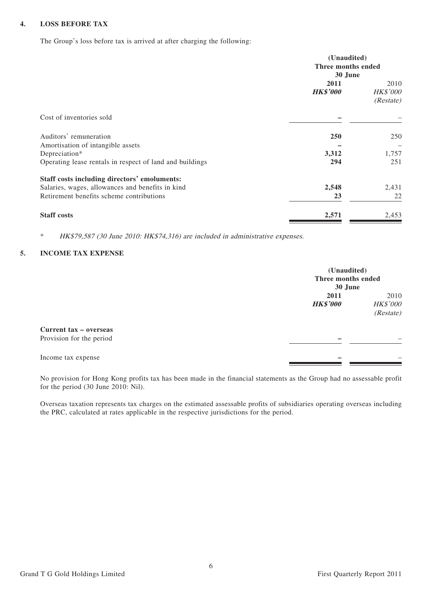#### **4. LOSS BEFORE TAX**

The Group's loss before tax is arrived at after charging the following:

|                                                                           | (Unaudited)<br>Three months ended<br>30 June |                                |  |
|---------------------------------------------------------------------------|----------------------------------------------|--------------------------------|--|
|                                                                           | 2011<br><b>HK\$'000</b>                      | 2010<br>HK\$'000<br>(Resitate) |  |
| Cost of inventories sold                                                  |                                              |                                |  |
| Auditors' remuneration                                                    | 250                                          | 250                            |  |
| Amortisation of intangible assets                                         |                                              |                                |  |
| Depreciation*<br>Operating lease rentals in respect of land and buildings | 3,312<br>294                                 | 1,757<br>251                   |  |
| Staff costs including directors' emoluments:                              |                                              |                                |  |
| Salaries, wages, allowances and benefits in kind                          | 2,548                                        | 2,431                          |  |
| Retirement benefits scheme contributions                                  | 23                                           | 22                             |  |
| <b>Staff costs</b>                                                        | 2,571                                        | 2,453                          |  |

\* HK\$79,587 (30 June 2010: HK\$74,316) are included in administrative expenses.

#### **5. INCOME TAX EXPENSE**

|                                                    | (Unaudited)<br>Three months ended<br>30 June |                                      |
|----------------------------------------------------|----------------------------------------------|--------------------------------------|
|                                                    | 2011<br><b>HK\$'000</b>                      | 2010<br><b>HK\$'000</b><br>(Restate) |
| Current tax - overseas<br>Provision for the period |                                              |                                      |
| Income tax expense                                 |                                              |                                      |

No provision for Hong Kong profits tax has been made in the financial statements as the Group had no assessable profit for the period (30 June 2010: Nil).

Overseas taxation represents tax charges on the estimated assessable profits of subsidiaries operating overseas including the PRC, calculated at rates applicable in the respective jurisdictions for the period.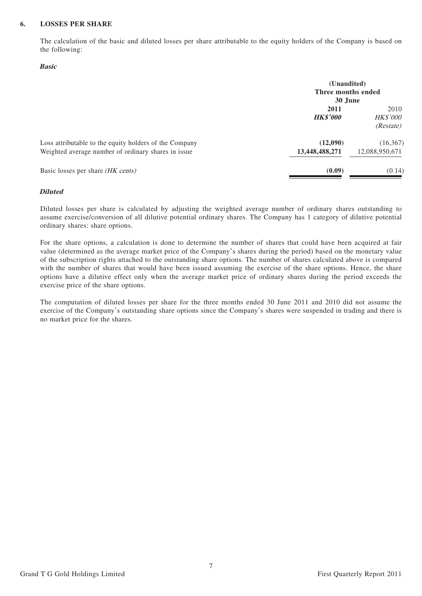#### **6. LOSSES PER SHARE**

The calculation of the basic and diluted losses per share attributable to the equity holders of the Company is based on the following:

#### **Basic**

|                                                                                                               | (Unaudited)<br>Three months ended<br>30 June |                                      |  |
|---------------------------------------------------------------------------------------------------------------|----------------------------------------------|--------------------------------------|--|
|                                                                                                               | 2011<br><b>HK\$'000</b>                      | 2010<br><b>HK\$'000</b><br>(Restate) |  |
| Loss attributable to the equity holders of the Company<br>Weighted average number of ordinary shares in issue | (12,090)<br>13,448,488,271                   | (16, 367)<br>12,088,950,671          |  |
| Basic losses per share (HK cents)                                                                             | (0.09)                                       | (0.14)                               |  |

#### **Diluted**

Diluted losses per share is calculated by adjusting the weighted average number of ordinary shares outstanding to assume exercise/conversion of all dilutive potential ordinary shares. The Company has 1 category of dilutive potential ordinary shares: share options.

For the share options, a calculation is done to determine the number of shares that could have been acquired at fair value (determined as the average market price of the Company's shares during the period) based on the monetary value of the subscription rights attached to the outstanding share options. The number of shares calculated above is compared with the number of shares that would have been issued assuming the exercise of the share options. Hence, the share options have a dilutive effect only when the average market price of ordinary shares during the period exceeds the exercise price of the share options.

The computation of diluted losses per share for the three months ended 30 June 2011 and 2010 did not assume the exercise of the Company's outstanding share options since the Company's shares were suspended in trading and there is no market price for the shares.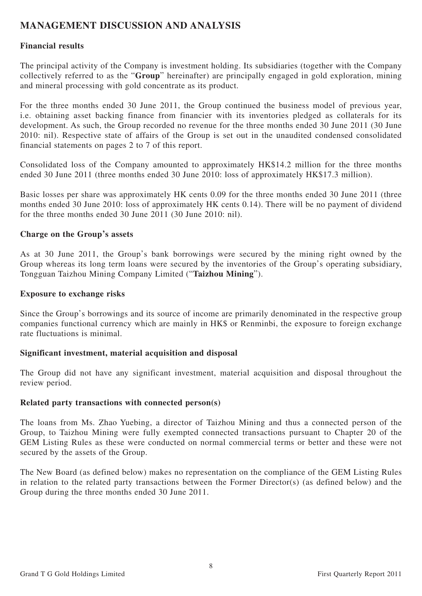# **MANAGEMENT DISCUSSION AND ANALYSIS**

# **Financial results**

The principal activity of the Company is investment holding. Its subsidiaries (together with the Company collectively referred to as the "**Group**" hereinafter) are principally engaged in gold exploration, mining and mineral processing with gold concentrate as its product.

For the three months ended 30 June 2011, the Group continued the business model of previous year, i.e. obtaining asset backing finance from financier with its inventories pledged as collaterals for its development. As such, the Group recorded no revenue for the three months ended 30 June 2011 (30 June 2010: nil). Respective state of affairs of the Group is set out in the unaudited condensed consolidated financial statements on pages 2 to 7 of this report.

Consolidated loss of the Company amounted to approximately HK\$14.2 million for the three months ended 30 June 2011 (three months ended 30 June 2010: loss of approximately HK\$17.3 million).

Basic losses per share was approximately HK cents 0.09 for the three months ended 30 June 2011 (three months ended 30 June 2010: loss of approximately HK cents 0.14). There will be no payment of dividend for the three months ended 30 June 2011 (30 June 2010: nil).

# **Charge on the Group's assets**

As at 30 June 2011, the Group's bank borrowings were secured by the mining right owned by the Group whereas its long term loans were secured by the inventories of the Group's operating subsidiary, Tongguan Taizhou Mining Company Limited ("**Taizhou Mining**").

#### **Exposure to exchange risks**

Since the Group's borrowings and its source of income are primarily denominated in the respective group companies functional currency which are mainly in HK\$ or Renminbi, the exposure to foreign exchange rate fluctuations is minimal.

# **Significant investment, material acquisition and disposal**

The Group did not have any significant investment, material acquisition and disposal throughout the review period.

#### **Related party transactions with connected person(s)**

The loans from Ms. Zhao Yuebing, a director of Taizhou Mining and thus a connected person of the Group, to Taizhou Mining were fully exempted connected transactions pursuant to Chapter 20 of the GEM Listing Rules as these were conducted on normal commercial terms or better and these were not secured by the assets of the Group.

The New Board (as defined below) makes no representation on the compliance of the GEM Listing Rules in relation to the related party transactions between the Former Director(s) (as defined below) and the Group during the three months ended 30 June 2011.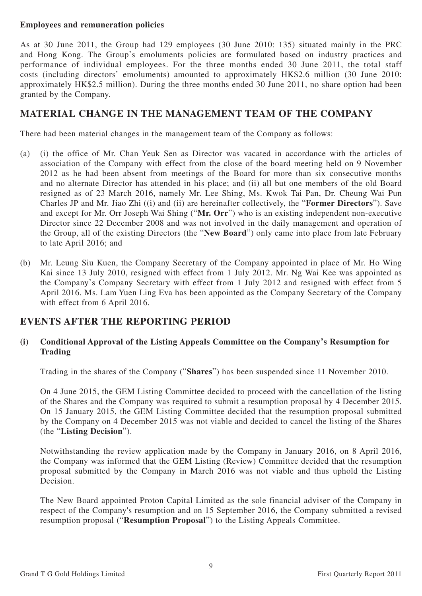# **Employees and remuneration policies**

As at 30 June 2011, the Group had 129 employees (30 June 2010: 135) situated mainly in the PRC and Hong Kong. The Group's emoluments policies are formulated based on industry practices and performance of individual employees. For the three months ended 30 June 2011, the total staff costs (including directors' emoluments) amounted to approximately HK\$2.6 million (30 June 2010: approximately HK\$2.5 million). During the three months ended 30 June 2011, no share option had been granted by the Company.

# **MATERIAL CHANGE IN THE MANAGEMENT TEAM OF THE COMPANY**

There had been material changes in the management team of the Company as follows:

- (a) (i) the office of Mr. Chan Yeuk Sen as Director was vacated in accordance with the articles of association of the Company with effect from the close of the board meeting held on 9 November 2012 as he had been absent from meetings of the Board for more than six consecutive months and no alternate Director has attended in his place; and (ii) all but one members of the old Board resigned as of 23 March 2016, namely Mr. Lee Shing, Ms. Kwok Tai Pan, Dr. Cheung Wai Pun Charles JP and Mr. Jiao Zhi ((i) and (ii) are hereinafter collectively, the "**Former Directors**"). Save and except for Mr. Orr Joseph Wai Shing ("**Mr. Orr**") who is an existing independent non-executive Director since 22 December 2008 and was not involved in the daily management and operation of the Group, all of the existing Directors (the "**New Board**") only came into place from late February to late April 2016; and
- (b) Mr. Leung Siu Kuen, the Company Secretary of the Company appointed in place of Mr. Ho Wing Kai since 13 July 2010, resigned with effect from 1 July 2012. Mr. Ng Wai Kee was appointed as the Company's Company Secretary with effect from 1 July 2012 and resigned with effect from 5 April 2016. Ms. Lam Yuen Ling Eva has been appointed as the Company Secretary of the Company with effect from 6 April 2016.

# **EVENTS AFTER THE REPORTING PERIOD**

# **(i) Conditional Approval of the Listing Appeals Committee on the Company's Resumption for Trading**

Trading in the shares of the Company ("**Shares**") has been suspended since 11 November 2010.

On 4 June 2015, the GEM Listing Committee decided to proceed with the cancellation of the listing of the Shares and the Company was required to submit a resumption proposal by 4 December 2015. On 15 January 2015, the GEM Listing Committee decided that the resumption proposal submitted by the Company on 4 December 2015 was not viable and decided to cancel the listing of the Shares (the "**Listing Decision**").

Notwithstanding the review application made by the Company in January 2016, on 8 April 2016, the Company was informed that the GEM Listing (Review) Committee decided that the resumption proposal submitted by the Company in March 2016 was not viable and thus uphold the Listing Decision.

The New Board appointed Proton Capital Limited as the sole financial adviser of the Company in respect of the Company's resumption and on 15 September 2016, the Company submitted a revised resumption proposal ("**Resumption Proposal**") to the Listing Appeals Committee.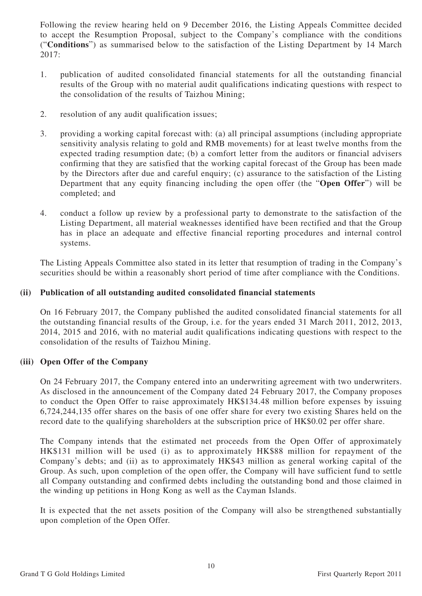Following the review hearing held on 9 December 2016, the Listing Appeals Committee decided to accept the Resumption Proposal, subject to the Company's compliance with the conditions ("**Conditions**") as summarised below to the satisfaction of the Listing Department by 14 March 2017:

- 1. publication of audited consolidated financial statements for all the outstanding financial results of the Group with no material audit qualifications indicating questions with respect to the consolidation of the results of Taizhou Mining;
- 2. resolution of any audit qualification issues;
- 3. providing a working capital forecast with: (a) all principal assumptions (including appropriate sensitivity analysis relating to gold and RMB movements) for at least twelve months from the expected trading resumption date; (b) a comfort letter from the auditors or financial advisers confirming that they are satisfied that the working capital forecast of the Group has been made by the Directors after due and careful enquiry; (c) assurance to the satisfaction of the Listing Department that any equity financing including the open offer (the "**Open Offer**") will be completed; and
- 4. conduct a follow up review by a professional party to demonstrate to the satisfaction of the Listing Department, all material weaknesses identified have been rectified and that the Group has in place an adequate and effective financial reporting procedures and internal control systems.

The Listing Appeals Committee also stated in its letter that resumption of trading in the Company's securities should be within a reasonably short period of time after compliance with the Conditions.

# **(ii) Publication of all outstanding audited consolidated financial statements**

On 16 February 2017, the Company published the audited consolidated financial statements for all the outstanding financial results of the Group, i.e. for the years ended 31 March 2011, 2012, 2013, 2014, 2015 and 2016, with no material audit qualifications indicating questions with respect to the consolidation of the results of Taizhou Mining.

# **(iii) Open Offer of the Company**

On 24 February 2017, the Company entered into an underwriting agreement with two underwriters. As disclosed in the announcement of the Company dated 24 February 2017, the Company proposes to conduct the Open Offer to raise approximately HK\$134.48 million before expenses by issuing 6,724,244,135 offer shares on the basis of one offer share for every two existing Shares held on the record date to the qualifying shareholders at the subscription price of HK\$0.02 per offer share.

The Company intends that the estimated net proceeds from the Open Offer of approximately HK\$131 million will be used (i) as to approximately HK\$88 million for repayment of the Company's debts; and (ii) as to approximately HK\$43 million as general working capital of the Group. As such, upon completion of the open offer, the Company will have sufficient fund to settle all Company outstanding and confirmed debts including the outstanding bond and those claimed in the winding up petitions in Hong Kong as well as the Cayman Islands.

It is expected that the net assets position of the Company will also be strengthened substantially upon completion of the Open Offer.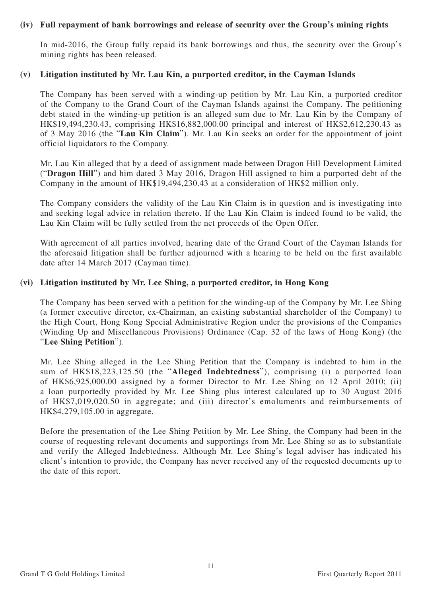### **(iv) Full repayment of bank borrowings and release of security over the Group's mining rights**

In mid-2016, the Group fully repaid its bank borrowings and thus, the security over the Group's mining rights has been released.

#### **(v) Litigation instituted by Mr. Lau Kin, a purported creditor, in the Cayman Islands**

The Company has been served with a winding-up petition by Mr. Lau Kin, a purported creditor of the Company to the Grand Court of the Cayman Islands against the Company. The petitioning debt stated in the winding-up petition is an alleged sum due to Mr. Lau Kin by the Company of HK\$19,494,230.43, comprising HK\$16,882,000.00 principal and interest of HK\$2,612,230.43 as of 3 May 2016 (the "**Lau Kin Claim**"). Mr. Lau Kin seeks an order for the appointment of joint official liquidators to the Company.

Mr. Lau Kin alleged that by a deed of assignment made between Dragon Hill Development Limited ("**Dragon Hill**") and him dated 3 May 2016, Dragon Hill assigned to him a purported debt of the Company in the amount of HK\$19,494,230.43 at a consideration of HK\$2 million only.

The Company considers the validity of the Lau Kin Claim is in question and is investigating into and seeking legal advice in relation thereto. If the Lau Kin Claim is indeed found to be valid, the Lau Kin Claim will be fully settled from the net proceeds of the Open Offer.

With agreement of all parties involved, hearing date of the Grand Court of the Cayman Islands for the aforesaid litigation shall be further adjourned with a hearing to be held on the first available date after 14 March 2017 (Cayman time).

### **(vi) Litigation instituted by Mr. Lee Shing, a purported creditor, in Hong Kong**

The Company has been served with a petition for the winding-up of the Company by Mr. Lee Shing (a former executive director, ex-Chairman, an existing substantial shareholder of the Company) to the High Court, Hong Kong Special Administrative Region under the provisions of the Companies (Winding Up and Miscellaneous Provisions) Ordinance (Cap. 32 of the laws of Hong Kong) (the "**Lee Shing Petition**").

Mr. Lee Shing alleged in the Lee Shing Petition that the Company is indebted to him in the sum of HK\$18,223,125.50 (the "**Alleged Indebtedness**"), comprising (i) a purported loan of HK\$6,925,000.00 assigned by a former Director to Mr. Lee Shing on 12 April 2010; (ii) a loan purportedly provided by Mr. Lee Shing plus interest calculated up to 30 August 2016 of HK\$7,019,020.50 in aggregate; and (iii) director's emoluments and reimbursements of HK\$4,279,105.00 in aggregate.

Before the presentation of the Lee Shing Petition by Mr. Lee Shing, the Company had been in the course of requesting relevant documents and supportings from Mr. Lee Shing so as to substantiate and verify the Alleged Indebtedness. Although Mr. Lee Shing's legal adviser has indicated his client's intention to provide, the Company has never received any of the requested documents up to the date of this report.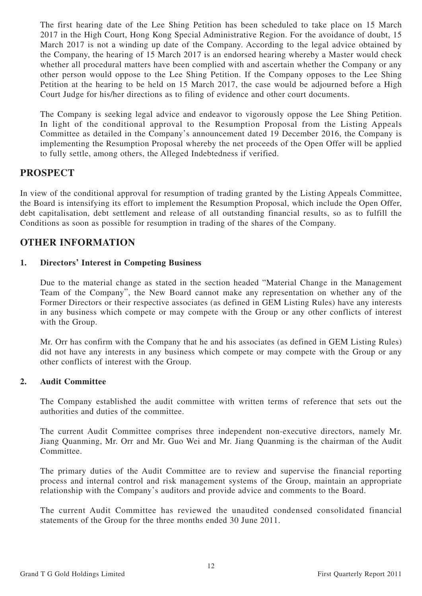The first hearing date of the Lee Shing Petition has been scheduled to take place on 15 March 2017 in the High Court, Hong Kong Special Administrative Region. For the avoidance of doubt, 15 March 2017 is not a winding up date of the Company. According to the legal advice obtained by the Company, the hearing of 15 March 2017 is an endorsed hearing whereby a Master would check whether all procedural matters have been complied with and ascertain whether the Company or any other person would oppose to the Lee Shing Petition. If the Company opposes to the Lee Shing Petition at the hearing to be held on 15 March 2017, the case would be adjourned before a High Court Judge for his/her directions as to filing of evidence and other court documents.

The Company is seeking legal advice and endeavor to vigorously oppose the Lee Shing Petition. In light of the conditional approval to the Resumption Proposal from the Listing Appeals Committee as detailed in the Company's announcement dated 19 December 2016, the Company is implementing the Resumption Proposal whereby the net proceeds of the Open Offer will be applied to fully settle, among others, the Alleged Indebtedness if verified.

# **PROSPECT**

In view of the conditional approval for resumption of trading granted by the Listing Appeals Committee, the Board is intensifying its effort to implement the Resumption Proposal, which include the Open Offer, debt capitalisation, debt settlement and release of all outstanding financial results, so as to fulfill the Conditions as soon as possible for resumption in trading of the shares of the Company.

# **OTHER INFORMATION**

# **1. Directors' Interest in Competing Business**

Due to the material change as stated in the section headed "Material Change in the Management Team of the Company", the New Board cannot make any representation on whether any of the Former Directors or their respective associates (as defined in GEM Listing Rules) have any interests in any business which compete or may compete with the Group or any other conflicts of interest with the Group.

Mr. Orr has confirm with the Company that he and his associates (as defined in GEM Listing Rules) did not have any interests in any business which compete or may compete with the Group or any other conflicts of interest with the Group.

# **2. Audit Committee**

The Company established the audit committee with written terms of reference that sets out the authorities and duties of the committee.

The current Audit Committee comprises three independent non-executive directors, namely Mr. Jiang Quanming, Mr. Orr and Mr. Guo Wei and Mr. Jiang Quanming is the chairman of the Audit Committee.

The primary duties of the Audit Committee are to review and supervise the financial reporting process and internal control and risk management systems of the Group, maintain an appropriate relationship with the Company's auditors and provide advice and comments to the Board.

The current Audit Committee has reviewed the unaudited condensed consolidated financial statements of the Group for the three months ended 30 June 2011.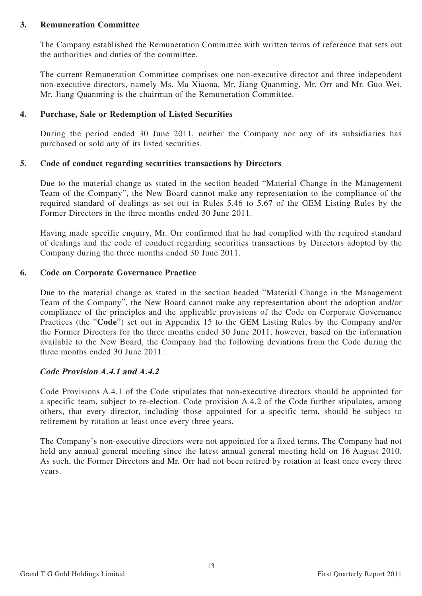### **3. Remuneration Committee**

The Company established the Remuneration Committee with written terms of reference that sets out the authorities and duties of the committee.

The current Remuneration Committee comprises one non-executive director and three independent non-executive directors, namely Ms. Ma Xiaona, Mr. Jiang Quanming, Mr. Orr and Mr. Guo Wei. Mr. Jiang Quanming is the chairman of the Remuneration Committee.

# **4. Purchase, Sale or Redemption of Listed Securities**

During the period ended 30 June 2011, neither the Company nor any of its subsidiaries has purchased or sold any of its listed securities.

### **5. Code of conduct regarding securities transactions by Directors**

Due to the material change as stated in the section headed "Material Change in the Management Team of the Company", the New Board cannot make any representation to the compliance of the required standard of dealings as set out in Rules 5.46 to 5.67 of the GEM Listing Rules by the Former Directors in the three months ended 30 June 2011.

Having made specific enquiry, Mr. Orr confirmed that he had complied with the required standard of dealings and the code of conduct regarding securities transactions by Directors adopted by the Company during the three months ended 30 June 2011.

### **6. Code on Corporate Governance Practice**

Due to the material change as stated in the section headed "Material Change in the Management Team of the Company", the New Board cannot make any representation about the adoption and/or compliance of the principles and the applicable provisions of the Code on Corporate Governance Practices (the "**Code**") set out in Appendix 15 to the GEM Listing Rules by the Company and/or the Former Directors for the three months ended 30 June 2011, however, based on the information available to the New Board, the Company had the following deviations from the Code during the three months ended 30 June 2011:

# **Code Provision A.4.1 and A.4.2**

Code Provisions A.4.1 of the Code stipulates that non-executive directors should be appointed for a specific team, subject to re-election. Code provision A.4.2 of the Code further stipulates, among others, that every director, including those appointed for a specific term, should be subject to retirement by rotation at least once every three years.

The Company's non-executive directors were not appointed for a fixed terms. The Company had not held any annual general meeting since the latest annual general meeting held on 16 August 2010. As such, the Former Directors and Mr. Orr had not been retired by rotation at least once every three years.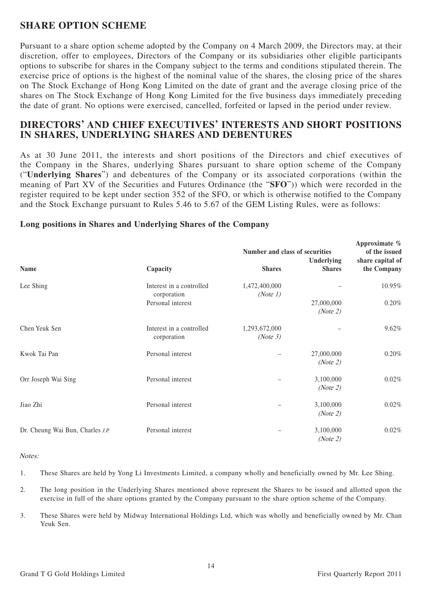# **SHARE OPTION SCHEME**

Pursuant to a share option scheme adopted by the Company on 4 March 2009, the Directors may, at their discretion, offer to employees, Directors of the Company or its subsidiaries other eligible participants options to subscribe for shares in the Company subject to the terms and conditions stipulated therein. The exercise price of options is the highest of the nominal value of the shares, the closing price of the shares on The Stock Exchange of Hong Kong Limited on the date of grant and the average closing price of the shares on The Stock Exchange of Hong Kong Limited for the five business days immediately preceding the date of grant. No options were exercised, cancelled, forfeited or lapsed in the period under review.

# **DIRECTORS' AND CHIEF EXECUTIVES' INTERESTS AND SHORT POSITIONS IN SHARES, UNDERLYING SHARES AND DEBENTURES**

As at 30 June 2011, the interests and short positions of the Directors and chief executives of the Company in the Shares, underlying Shares pursuant to share option scheme of the Company ("**Underlying Shares**") and debentures of the Company or its associated corporations (within the meaning of Part XV of the Securities and Futures Ordinance (the "**SFO**")) which were recorded in the register required to be kept under section 352 of the SFO, or which is otherwise notified to the Company and the Stock Exchange pursuant to Rules 5.46 to 5.67 of the GEM Listing Rules, were as follows:

|                                  |                                         | Number and class of securities | Approximate %<br>of the issued |                                 |
|----------------------------------|-----------------------------------------|--------------------------------|--------------------------------|---------------------------------|
| <b>Name</b>                      | Capacity                                | <b>Shares</b>                  | Underlying<br><b>Shares</b>    | share capital of<br>the Company |
| Lee Shing                        | Interest in a controlled<br>corporation | 1,472,400,000<br>(Note 1)      |                                | 10.95%                          |
|                                  | Personal interest                       |                                | 27,000,000<br>(Note 2)         | 0.20%                           |
| Chen Yeuk Sen                    | Interest in a controlled<br>corporation | 1,293,672,000<br>(Note 3)      |                                | 9.62%                           |
| Kwok Tai Pan                     | Personal interest                       |                                | 27,000,000<br>(Note 2)         | 0.20%                           |
| Orr Joseph Wai Sing              | Personal interest                       |                                | 3,100,000<br>(Note 2)          | 0.02%                           |
| Jiao Zhi                         | Personal interest                       |                                | 3,100,000<br>(Note 2)          | 0.02%                           |
| Dr. Cheung Wai Bun, Charles J.P. | Personal interest                       |                                | 3,100,000<br>(Note 2)          | 0.02%                           |

### **Long positions in Shares and Underlying Shares of the Company**

Notes:

- 1. These Shares are held by Yong Li Investments Limited, a company wholly and beneficially owned by Mr. Lee Shing.
- 2. The long position in the Underlying Shares mentioned above represent the Shares to be issued and allotted upon the exercise in full of the share options granted by the Company pursuant to the share option scheme of the Company.
- 3. These Shares were held by Midway International Holdings Ltd, which was wholly and beneficially owned by Mr. Chan Yeuk Sen.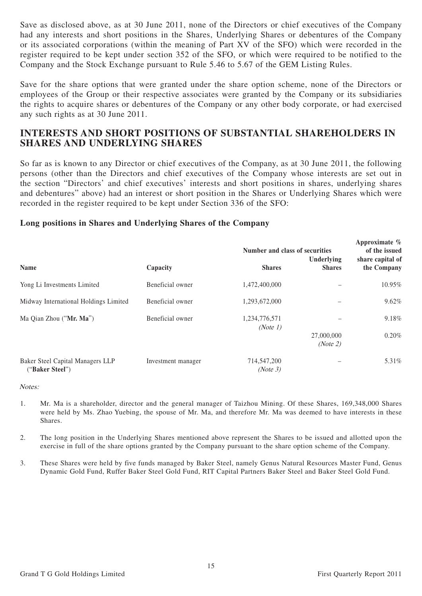Save as disclosed above, as at 30 June 2011, none of the Directors or chief executives of the Company had any interests and short positions in the Shares, Underlying Shares or debentures of the Company or its associated corporations (within the meaning of Part XV of the SFO) which were recorded in the register required to be kept under section 352 of the SFO, or which were required to be notified to the Company and the Stock Exchange pursuant to Rule 5.46 to 5.67 of the GEM Listing Rules.

Save for the share options that were granted under the share option scheme, none of the Directors or employees of the Group or their respective associates were granted by the Company or its subsidiaries the rights to acquire shares or debentures of the Company or any other body corporate, or had exercised any such rights as at 30 June 2011.

# **INTERESTS AND SHORT POSITIONS OF SUBSTANTIAL SHAREHOLDERS IN SHARES AND UNDERLYING SHARES**

So far as is known to any Director or chief executives of the Company, as at 30 June 2011, the following persons (other than the Directors and chief executives of the Company whose interests are set out in the section "Directors' and chief executives' interests and short positions in shares, underlying shares and debentures" above) had an interest or short position in the Shares or Underlying Shares which were recorded in the register required to be kept under Section 336 of the SFO:

### **Long positions in Shares and Underlying Shares of the Company**

|                                                     |                    | Number and class of securities | Approximate %<br>of the issued<br>share capital of |             |
|-----------------------------------------------------|--------------------|--------------------------------|----------------------------------------------------|-------------|
| <b>Name</b>                                         | Capacity           | <b>Shares</b>                  | Underlying<br><b>Shares</b>                        | the Company |
| Yong Li Investments Limited                         | Beneficial owner   | 1,472,400,000                  |                                                    | 10.95%      |
| Midway International Holdings Limited               | Beneficial owner   | 1,293,672,000                  |                                                    | 9.62%       |
| Ma Qian Zhou ("Mr. Ma")                             | Beneficial owner   | 1,234,776,571<br>(Note 1)      |                                                    | 9.18%       |
|                                                     |                    |                                | 27,000,000<br>(Note 2)                             | 0.20%       |
| Baker Steel Capital Managers LLP<br>("Baker Steel") | Investment manager | 714,547,200<br>(Note 3)        |                                                    | 5.31%       |

Notes:

- 1. Mr. Ma is a shareholder, director and the general manager of Taizhou Mining. Of these Shares, 169,348,000 Shares were held by Ms. Zhao Yuebing, the spouse of Mr. Ma, and therefore Mr. Ma was deemed to have interests in these Shares.
- 2. The long position in the Underlying Shares mentioned above represent the Shares to be issued and allotted upon the exercise in full of the share options granted by the Company pursuant to the share option scheme of the Company.
- 3. These Shares were held by five funds managed by Baker Steel, namely Genus Natural Resources Master Fund, Genus Dynamic Gold Fund, Ruffer Baker Steel Gold Fund, RIT Capital Partners Baker Steel and Baker Steel Gold Fund.